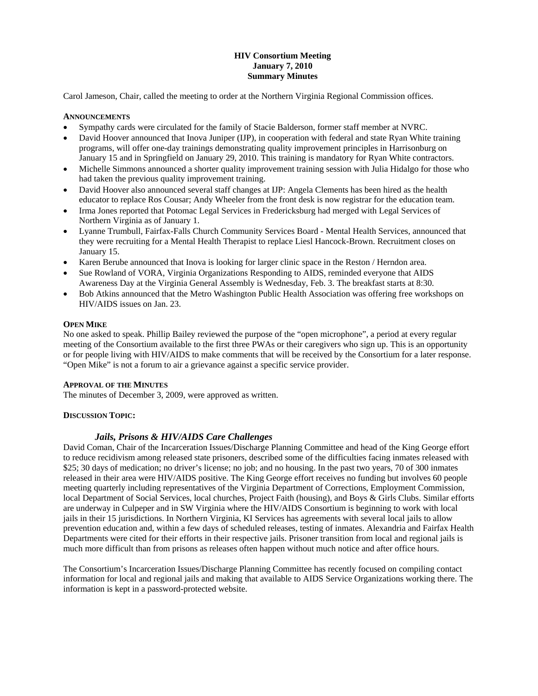# **HIV Consortium Meeting January 7, 2010 Summary Minutes**

Carol Jameson, Chair, called the meeting to order at the Northern Virginia Regional Commission offices.

#### **ANNOUNCEMENTS**

- Sympathy cards were circulated for the family of Stacie Balderson, former staff member at NVRC.
- David Hoover announced that Inova Juniper (IJP), in cooperation with federal and state Ryan White training programs, will offer one-day trainings demonstrating quality improvement principles in Harrisonburg on January 15 and in Springfield on January 29, 2010. This training is mandatory for Ryan White contractors.
- Michelle Simmons announced a shorter quality improvement training session with Julia Hidalgo for those who had taken the previous quality improvement training.
- David Hoover also announced several staff changes at IJP: Angela Clements has been hired as the health educator to replace Ros Cousar; Andy Wheeler from the front desk is now registrar for the education team.
- Irma Jones reported that Potomac Legal Services in Fredericksburg had merged with Legal Services of Northern Virginia as of January 1.
- Lyanne Trumbull, Fairfax-Falls Church Community Services Board Mental Health Services, announced that they were recruiting for a Mental Health Therapist to replace Liesl Hancock-Brown. Recruitment closes on January 15.
- Karen Berube announced that Inova is looking for larger clinic space in the Reston / Herndon area.
- Sue Rowland of VORA, Virginia Organizations Responding to AIDS, reminded everyone that AIDS Awareness Day at the Virginia General Assembly is Wednesday, Feb. 3. The breakfast starts at 8:30.
- Bob Atkins announced that the Metro Washington Public Health Association was offering free workshops on HIV/AIDS issues on Jan. 23.

#### **OPEN MIKE**

No one asked to speak. Phillip Bailey reviewed the purpose of the "open microphone", a period at every regular meeting of the Consortium available to the first three PWAs or their caregivers who sign up. This is an opportunity or for people living with HIV/AIDS to make comments that will be received by the Consortium for a later response. "Open Mike" is not a forum to air a grievance against a specific service provider.

#### **APPROVAL OF THE MINUTES**

The minutes of December 3, 2009, were approved as written.

#### **DISCUSSION TOPIC:**

### *Jails, Prisons & HIV/AIDS Care Challenges*

David Coman, Chair of the Incarceration Issues/Discharge Planning Committee and head of the King George effort to reduce recidivism among released state prisoners, described some of the difficulties facing inmates released with \$25; 30 days of medication; no driver's license; no job; and no housing. In the past two years, 70 of 300 inmates released in their area were HIV/AIDS positive. The King George effort receives no funding but involves 60 people meeting quarterly including representatives of the Virginia Department of Corrections, Employment Commission, local Department of Social Services, local churches, Project Faith (housing), and Boys & Girls Clubs. Similar efforts are underway in Culpeper and in SW Virginia where the HIV/AIDS Consortium is beginning to work with local jails in their 15 jurisdictions. In Northern Virginia, KI Services has agreements with several local jails to allow prevention education and, within a few days of scheduled releases, testing of inmates. Alexandria and Fairfax Health Departments were cited for their efforts in their respective jails. Prisoner transition from local and regional jails is much more difficult than from prisons as releases often happen without much notice and after office hours.

The Consortium's Incarceration Issues/Discharge Planning Committee has recently focused on compiling contact information for local and regional jails and making that available to AIDS Service Organizations working there. The information is kept in a password-protected website.